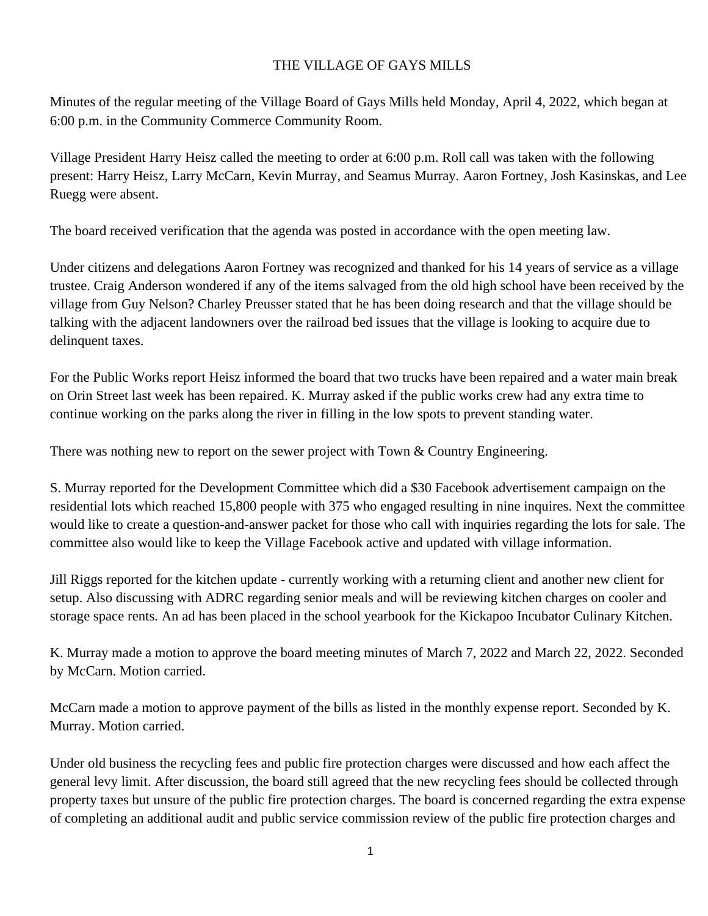## THE VILLAGE OF GAYS MILLS

Minutes of the regular meeting of the Village Board of Gays Mills held Monday, April 4, 2022, which began at 6:00 p.m. in the Community Commerce Community Room.

Village President Harry Heisz called the meeting to order at 6:00 p.m. Roll call was taken with the following present: Harry Heisz, Larry McCarn, Kevin Murray, and Seamus Murray. Aaron Fortney, Josh Kasinskas, and Lee Ruegg were absent.

The board received verification that the agenda was posted in accordance with the open meeting law.

Under citizens and delegations Aaron Fortney was recognized and thanked for his 14 years of service as a village trustee. Craig Anderson wondered if any of the items salvaged from the old high school have been received by the village from Guy Nelson? Charley Preusser stated that he has been doing research and that the village should be talking with the adjacent landowners over the railroad bed issues that the village is looking to acquire due to delinquent taxes.

For the Public Works report Heisz informed the board that two trucks have been repaired and a water main break on Orin Street last week has been repaired. K. Murray asked if the public works crew had any extra time to continue working on the parks along the river in filling in the low spots to prevent standing water.

There was nothing new to report on the sewer project with Town & Country Engineering.

S. Murray reported for the Development Committee which did a \$30 Facebook advertisement campaign on the residential lots which reached 15,800 people with 375 who engaged resulting in nine inquires. Next the committee would like to create a question-and-answer packet for those who call with inquiries regarding the lots for sale. The committee also would like to keep the Village Facebook active and updated with village information.

Jill Riggs reported for the kitchen update - currently working with a returning client and another new client for setup. Also discussing with ADRC regarding senior meals and will be reviewing kitchen charges on cooler and storage space rents. An ad has been placed in the school yearbook for the Kickapoo Incubator Culinary Kitchen.

K. Murray made a motion to approve the board meeting minutes of March 7, 2022 and March 22, 2022. Seconded by McCarn. Motion carried.

McCarn made a motion to approve payment of the bills as listed in the monthly expense report. Seconded by K. Murray. Motion carried.

Under old business the recycling fees and public fire protection charges were discussed and how each affect the general levy limit. After discussion, the board still agreed that the new recycling fees should be collected through property taxes but unsure of the public fire protection charges. The board is concerned regarding the extra expense of completing an additional audit and public service commission review of the public fire protection charges and